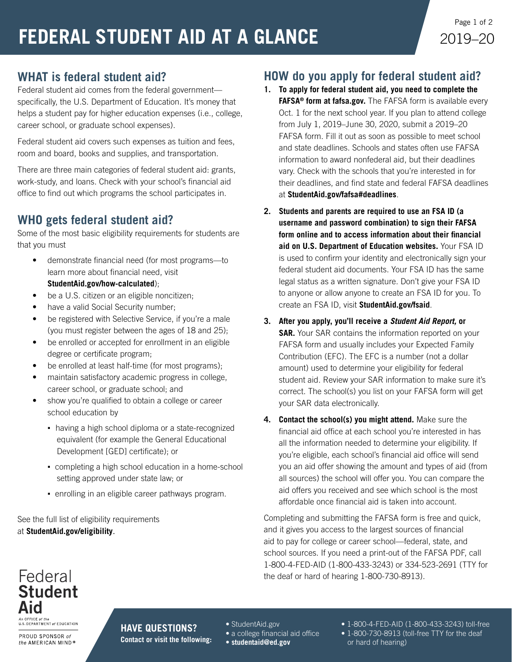# **WHAT is federal student aid?**

Federal student aid comes from the federal government specifically, the U.S. Department of Education. It's money that helps a student pay for higher education expenses (i.e., college, career school, or graduate school expenses).

Federal student aid covers such expenses as tuition and fees, room and board, books and supplies, and transportation.

There are three main categories of federal student aid: grants, work-study, and loans. Check with your school's financial aid office to find out which programs the school participates in.

# **WHO gets federal student aid?**

Some of the most basic eligibility requirements for students are that you must

- demonstrate financial need (for most programs—to learn more about financial need, visit **[StudentAid.gov/how-calculated](https://studentaid.ed.gov/sa/fafsa/next-steps/how-calculated)**);
- be a U.S. citizen or an eligible noncitizen:
- have a valid Social Security number;
- be registered with Selective Service, if you're a male (you must register between the ages of 18 and 25);
- be enrolled or accepted for enrollment in an eligible degree or certificate program;
- be enrolled at least half-time (for most programs);
- maintain satisfactory academic progress in college, career school, or graduate school; and
- show you're qualified to obtain a college or career school education by
	- having a high school diploma or a state-recognized equivalent (for example the General Educational Development [GED] certificate); or
	- completing a high school education in a home-school setting approved under state law; or
	- enrolling in an eligible career pathways program.

See the full list of eligibility requirements at **[StudentAid.gov/eligibility](https://studentaid.ed.gov/sa/eligibility)**.

### **HOW do you apply for federal student aid?**

- **1. To apply for federal student aid, you need to complete the FAFSA® form at [fafsa.gov.](https://studentaid.ed.gov/sa/fafsa)** The FAFSA form is available every Oct. 1 for the next school year. If you plan to attend college from July 1, 2019–June 30, 2020, submit a 2019–20 FAFSA form. Fill it out as soon as possible to meet school and state deadlines. Schools and states often use FAFSA information to award nonfederal aid, but their deadlines vary. Check with the schools that you're interested in for their deadlines, and find state and federal FAFSA deadlines at **[StudentAid.gov/fafsa#deadlines](https://studentaid.ed.gov/sa/fafsa#deadlines)**.
- **2. Students and parents are required to use an FSA ID (a username and password combination) to sign their FAFSA form online and to access information about their financial aid on U.S. Department of Education websites.** Your FSA ID is used to confirm your identity and electronically sign your federal student aid documents. Your FSA ID has the same legal status as a written signature. Don't give your FSA ID to anyone or allow anyone to create an FSA ID for you. To create an FSA ID, visit **[StudentAid.gov/fsaid](https://studentaid.ed.gov/sa/fafsa/filling-out/fsaid)**.
- **3. After you apply, you'll receive a** *Student Aid Report,* **or SAR.** Your SAR contains the information reported on your FAFSA form and usually includes your Expected Family Contribution (EFC). The EFC is a number (not a dollar amount) used to determine your eligibility for federal student aid. Review your SAR information to make sure it's correct. The school(s) you list on your FAFSA form will get your SAR data electronically.
- **4. Contact the school(s) you might attend.** Make sure the financial aid office at each school you're interested in has all the information needed to determine your eligibility. If you're eligible, each school's financial aid office will send you an aid offer showing the amount and types of aid (from all sources) the school will offer you. You can compare the aid offers you received and see which school is the most affordable once financial aid is taken into account.

Completing and submitting the FAFSA form is free and quick, and it gives you access to the largest sources of financial aid to pay for college or career school—federal, state, and school sources. If you need a print-out of the FAFSA PDF, call 1-800-4-FED-AID (1-800-433-3243) or 334-523-2691 (TTY for the deaf or hard of hearing 1-800-730-8913).

#### Federal **Student** Aid An OFFICE of the

**AN OTTICE OF THE**<br>U.S. DEPARTMENT *of* EDUCATION

PROUD SPONSOR of the AMERICAN MIND® **HAVE QUESTIONS? Contact or visit the following:**

- [StudentAid.gov](https://studentaid.ed.gov/sa/)
- a college financial aid office
- **[studentaid@ed.gov](mailto:studentaid%40ed.gov?subject=)**
- 1-800-4-FED-AID (1-800-433-3243) toll-free
- 1-800-730-8913 (toll-free TTY for the deaf or hard of hearing)